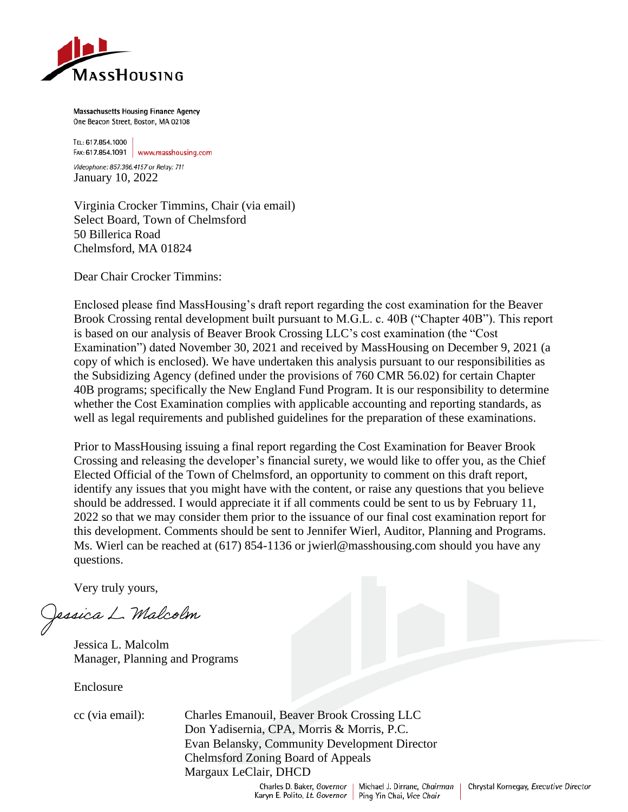

Massachusetts Housing Finance Agency One Beacon Street, Boston, MA 02108

TEL: 617.854.1000 FAX: 617.854.1091 www.masshousing.com

Videophone: 857.366.4157 or Relay: 711 January 10, 2022

Virginia Crocker Timmins, Chair (via email) Select Board, Town of Chelmsford 50 Billerica Road Chelmsford, MA 01824

Dear Chair Crocker Timmins:

Enclosed please find MassHousing's draft report regarding the cost examination for the Beaver Brook Crossing rental development built pursuant to M.G.L. c. 40B ("Chapter 40B"). This report is based on our analysis of Beaver Brook Crossing LLC's cost examination (the "Cost Examination") dated November 30, 2021 and received by MassHousing on December 9, 2021 (a copy of which is enclosed). We have undertaken this analysis pursuant to our responsibilities as the Subsidizing Agency (defined under the provisions of 760 CMR 56.02) for certain Chapter 40B programs; specifically the New England Fund Program. It is our responsibility to determine whether the Cost Examination complies with applicable accounting and reporting standards, as well as legal requirements and published guidelines for the preparation of these examinations.

Prior to MassHousing issuing a final report regarding the Cost Examination for Beaver Brook Crossing and releasing the developer's financial surety, we would like to offer you, as the Chief Elected Official of the Town of Chelmsford, an opportunity to comment on this draft report, identify any issues that you might have with the content, or raise any questions that you believe should be addressed. I would appreciate it if all comments could be sent to us by February 11, 2022 so that we may consider them prior to the issuance of our final cost examination report for this development. Comments should be sent to Jennifer Wierl, Auditor, Planning and Programs. Ms. Wierl can be reached at (617) 854-1136 or jwierl@masshousing.com should you have any questions.

Very truly yours,

Jessica L. Malcolm

Jessica L. Malcolm Manager, Planning and Programs

Enclosure

cc (via email): Charles Emanouil, Beaver Brook Crossing LLC Don Yadisernia, CPA, Morris & Morris, P.C. Evan Belansky, Community Development Director Chelmsford Zoning Board of Appeals Margaux LeClair, DHCD

> Charles D. Baker, Governor Karyn E. Polito, Lt. Governor

Michael J. Dirrane, Chairman Ping Yin Chai, Vice Chair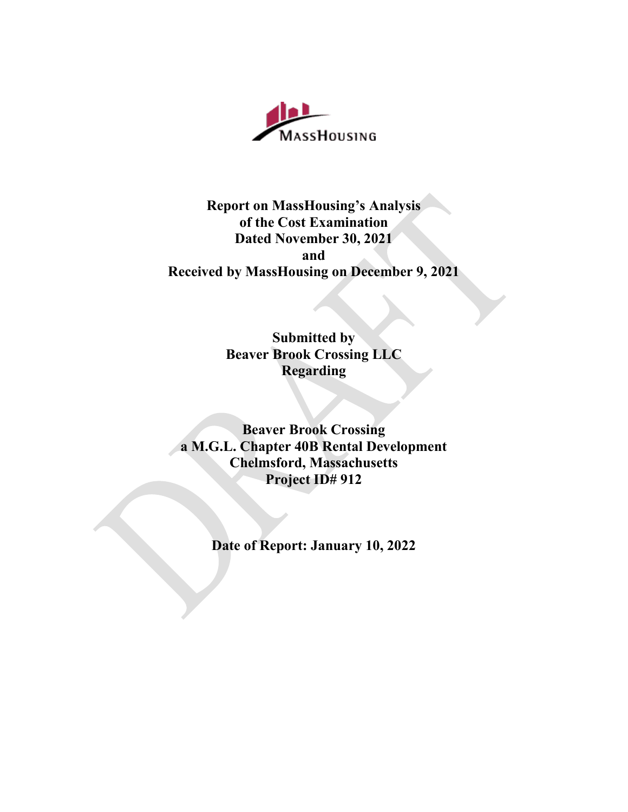

# **Report on MassHousing's Analysis of the Cost Examination Dated November 30, 2021 and Received by MassHousing on December 9, 2021**

**Submitted by Beaver Brook Crossing LLC Regarding**

**Beaver Brook Crossing a M.G.L. Chapter 40B Rental Development Chelmsford, Massachusetts Project ID# 912**

**Date of Report: January 10, 2022**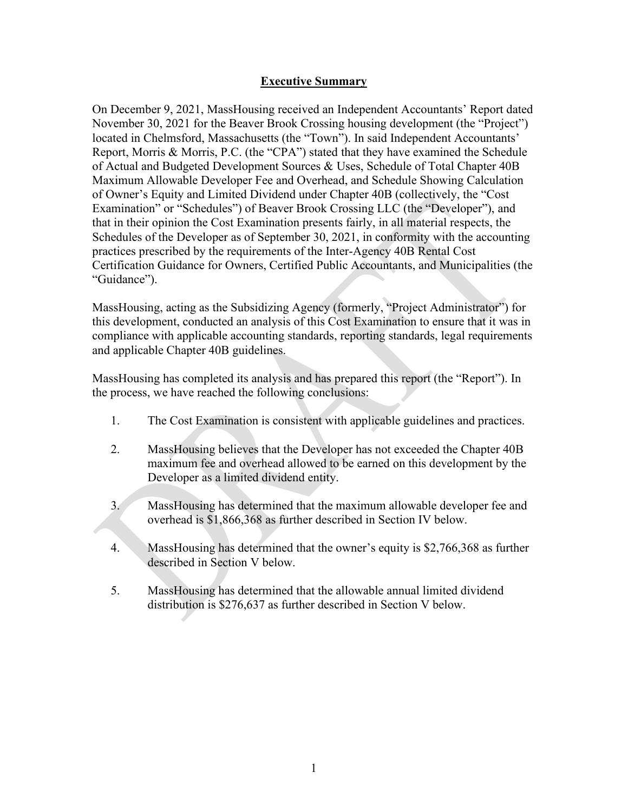#### **Executive Summary**

On December 9, 2021, MassHousing received an Independent Accountants' Report dated November 30, 2021 for the Beaver Brook Crossing housing development (the "Project") located in Chelmsford, Massachusetts (the "Town"). In said Independent Accountants' Report, Morris & Morris, P.C. (the "CPA") stated that they have examined the Schedule of Actual and Budgeted Development Sources & Uses, Schedule of Total Chapter 40B Maximum Allowable Developer Fee and Overhead, and Schedule Showing Calculation of Owner's Equity and Limited Dividend under Chapter 40B (collectively, the "Cost Examination" or "Schedules") of Beaver Brook Crossing LLC (the "Developer"), and that in their opinion the Cost Examination presents fairly, in all material respects, the Schedules of the Developer as of September 30, 2021, in conformity with the accounting practices prescribed by the requirements of the Inter-Agency 40B Rental Cost Certification Guidance for Owners, Certified Public Accountants, and Municipalities (the "Guidance").

MassHousing, acting as the Subsidizing Agency (formerly, "Project Administrator") for this development, conducted an analysis of this Cost Examination to ensure that it was in compliance with applicable accounting standards, reporting standards, legal requirements and applicable Chapter 40B guidelines.

MassHousing has completed its analysis and has prepared this report (the "Report"). In the process, we have reached the following conclusions:

- 1. The Cost Examination is consistent with applicable guidelines and practices.
- 2. MassHousing believes that the Developer has not exceeded the Chapter 40B maximum fee and overhead allowed to be earned on this development by the Developer as a limited dividend entity.
- 3. MassHousing has determined that the maximum allowable developer fee and overhead is \$1,866,368 as further described in Section IV below.
- 4. MassHousing has determined that the owner's equity is \$2,766,368 as further described in Section V below.
- 5. MassHousing has determined that the allowable annual limited dividend distribution is \$276,637 as further described in Section V below.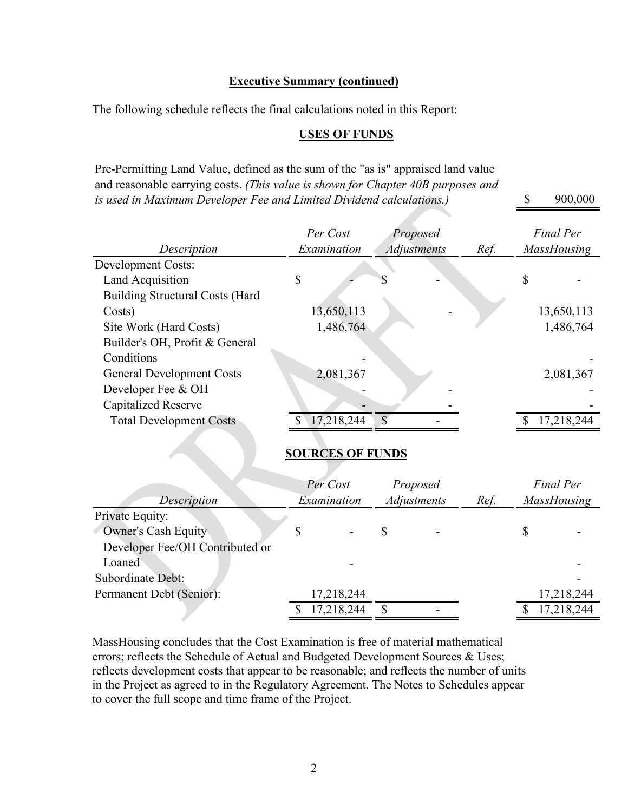#### **Executive Summary (continued)**

The following schedule reflects the final calculations noted in this Report:

#### **USES OF FUNDS**

\$ 900,000

Pre-Permitting Land Value, defined as the sum of the "as is" appraised land value and reasonable carrying costs. *(This value is shown for Chapter 40B purposes and is used in Maximum Developer Fee and Limited Dividend calculations.)*

|                                        | Per Cost                |               | Proposed           |      | <b>Final Per</b>   |
|----------------------------------------|-------------------------|---------------|--------------------|------|--------------------|
| Description                            | Examination             |               | <b>Adjustments</b> | Ref. | <b>MassHousing</b> |
| <b>Development Costs:</b>              |                         |               |                    |      |                    |
| Land Acquisition                       | \$                      |               |                    |      | \$                 |
| <b>Building Structural Costs (Hard</b> |                         |               |                    |      |                    |
| Costs)                                 | 13,650,113              |               |                    |      | 13,650,113         |
| Site Work (Hard Costs)                 | 1,486,764               |               |                    |      | 1,486,764          |
| Builder's OH, Profit & General         |                         |               |                    |      |                    |
| Conditions                             |                         |               |                    |      |                    |
| <b>General Development Costs</b>       | 2,081,367               |               |                    |      | 2,081,367          |
| Developer Fee & OH                     |                         |               |                    |      |                    |
| Capitalized Reserve                    |                         |               |                    |      |                    |
| <b>Total Development Costs</b>         | 17,218,244              | $\mathcal{S}$ |                    |      | 17,218,244         |
|                                        |                         |               |                    |      |                    |
|                                        | <b>SOURCES OF FUNDS</b> |               |                    |      |                    |
|                                        |                         |               |                    |      |                    |
|                                        | Per Cost                |               | Proposed           |      | <b>Final Per</b>   |
| Description                            | Examination             |               | Adjustments        | Ref. | MassHousing        |
| Private Equity:                        |                         |               |                    |      |                    |
| <b>Owner's Cash Equity</b>             | \$                      | \$            |                    |      | \$                 |
| Developer Fee/OH Contributed or        |                         |               |                    |      |                    |
| Loaned                                 |                         |               |                    |      |                    |
| <b>Subordinate Debt:</b>               |                         |               |                    |      |                    |
|                                        |                         |               |                    |      |                    |
| Permanent Debt (Senior):               | 17,218,244              |               |                    |      | 17,218,244         |
|                                        | \$<br>17,218,244        | \$            |                    |      | \$<br>17,218,244   |

MassHousing concludes that the Cost Examination is free of material mathematical errors; reflects the Schedule of Actual and Budgeted Development Sources & Uses; reflects development costs that appear to be reasonable; and reflects the number of units in the Project as agreed to in the Regulatory Agreement. The Notes to Schedules appear to cover the full scope and time frame of the Project.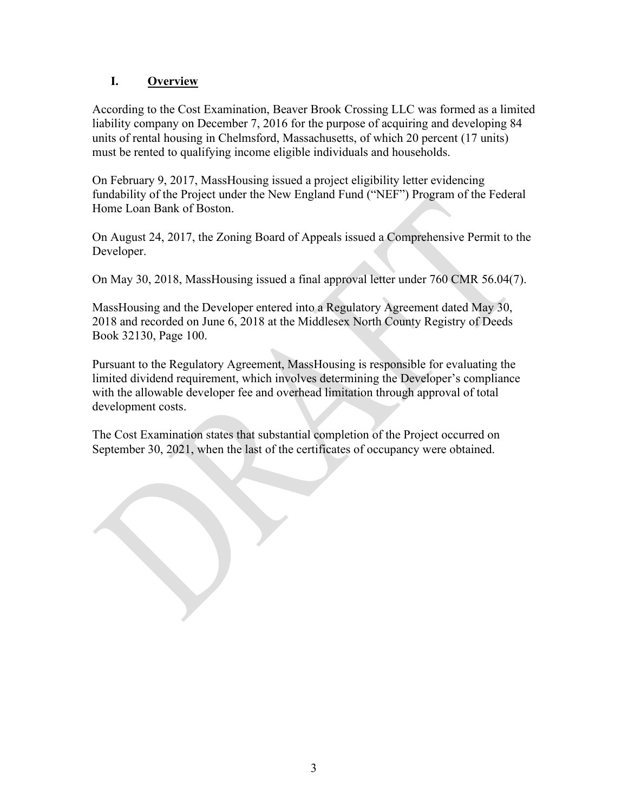## **I. Overview**

According to the Cost Examination, Beaver Brook Crossing LLC was formed as a limited liability company on December 7, 2016 for the purpose of acquiring and developing 84 units of rental housing in Chelmsford, Massachusetts, of which 20 percent (17 units) must be rented to qualifying income eligible individuals and households.

On February 9, 2017, MassHousing issued a project eligibility letter evidencing fundability of the Project under the New England Fund ("NEF") Program of the Federal Home Loan Bank of Boston.

On August 24, 2017, the Zoning Board of Appeals issued a Comprehensive Permit to the Developer.

On May 30, 2018, MassHousing issued a final approval letter under 760 CMR 56.04(7).

MassHousing and the Developer entered into a Regulatory Agreement dated May 30, 2018 and recorded on June 6, 2018 at the Middlesex North County Registry of Deeds Book 32130, Page 100.

Pursuant to the Regulatory Agreement, MassHousing is responsible for evaluating the limited dividend requirement, which involves determining the Developer's compliance with the allowable developer fee and overhead limitation through approval of total development costs.

The Cost Examination states that substantial completion of the Project occurred on September 30, 2021, when the last of the certificates of occupancy were obtained.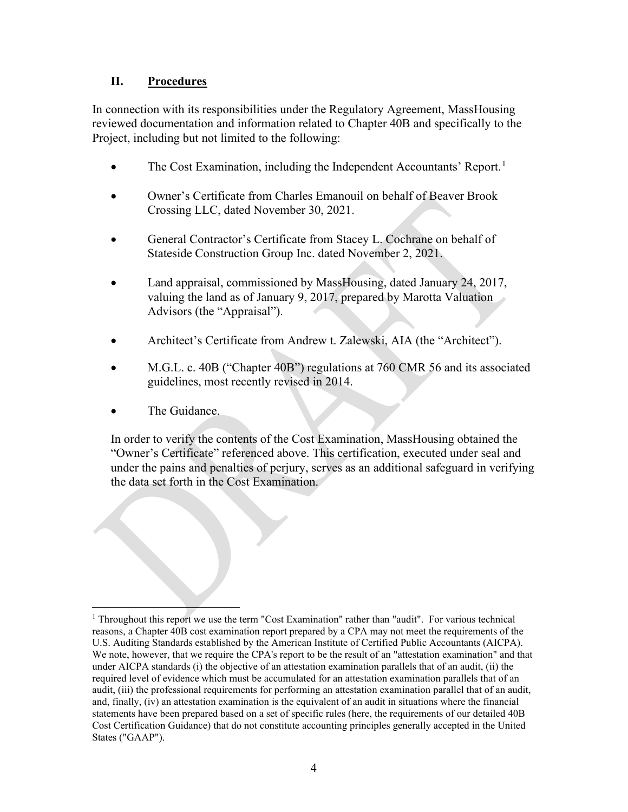### **II. Procedures**

In connection with its responsibilities under the Regulatory Agreement, MassHousing reviewed documentation and information related to Chapter 40B and specifically to the Project, including but not limited to the following:

- The Cost Examination, including the Independent Accountants' Report.<sup>[1](#page-5-0)</sup>
- Owner's Certificate from Charles Emanouil on behalf of Beaver Brook Crossing LLC, dated November 30, 2021.
- General Contractor's Certificate from Stacey L. Cochrane on behalf of Stateside Construction Group Inc. dated November 2, 2021.
- Land appraisal, commissioned by MassHousing, dated January 24, 2017, valuing the land as of January 9, 2017, prepared by Marotta Valuation Advisors (the "Appraisal").
- Architect's Certificate from Andrew t. Zalewski, AIA (the "Architect").
- M.G.L. c. 40B ("Chapter 40B") regulations at 760 CMR 56 and its associated guidelines, most recently revised in 2014.
- The Guidance.

In order to verify the contents of the Cost Examination, MassHousing obtained the "Owner's Certificate" referenced above. This certification, executed under seal and under the pains and penalties of perjury, serves as an additional safeguard in verifying the data set forth in the Cost Examination.

<span id="page-5-0"></span><sup>1</sup> Throughout this report we use the term "Cost Examination" rather than "audit". For various technical reasons, a Chapter 40B cost examination report prepared by a CPA may not meet the requirements of the U.S. Auditing Standards established by the American Institute of Certified Public Accountants (AICPA). We note, however, that we require the CPA's report to be the result of an "attestation examination" and that under AICPA standards (i) the objective of an attestation examination parallels that of an audit, (ii) the required level of evidence which must be accumulated for an attestation examination parallels that of an audit, (iii) the professional requirements for performing an attestation examination parallel that of an audit, and, finally, (iv) an attestation examination is the equivalent of an audit in situations where the financial statements have been prepared based on a set of specific rules (here, the requirements of our detailed 40B Cost Certification Guidance) that do not constitute accounting principles generally accepted in the United States ("GAAP").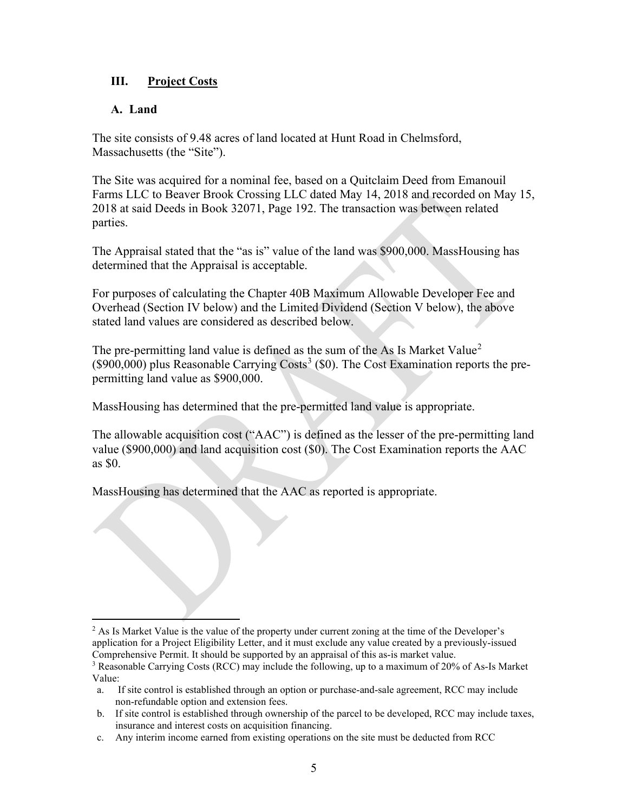### **III. Project Costs**

### **A. Land**

The site consists of 9.48 acres of land located at Hunt Road in Chelmsford, Massachusetts (the "Site").

The Site was acquired for a nominal fee, based on a Quitclaim Deed from Emanouil Farms LLC to Beaver Brook Crossing LLC dated May 14, 2018 and recorded on May 15, 2018 at said Deeds in Book 32071, Page 192. The transaction was between related parties.

The Appraisal stated that the "as is" value of the land was \$900,000. MassHousing has determined that the Appraisal is acceptable.

For purposes of calculating the Chapter 40B Maximum Allowable Developer Fee and Overhead (Section IV below) and the Limited Dividend (Section V below), the above stated land values are considered as described below.

The pre-permitting land value is defined as the sum of the As Is Market Value<sup>[2](#page-6-0)</sup> (\$900,000) plus Reasonable Carrying Costs<sup>[3](#page-6-1)</sup> (\$0). The Cost Examination reports the prepermitting land value as \$900,000.

MassHousing has determined that the pre-permitted land value is appropriate.

The allowable acquisition cost ("AAC") is defined as the lesser of the pre-permitting land value (\$900,000) and land acquisition cost (\$0). The Cost Examination reports the AAC as \$0.

MassHousing has determined that the AAC as reported is appropriate.

<span id="page-6-0"></span> $<sup>2</sup>$  As Is Market Value is the value of the property under current zoning at the time of the Developer's</sup> application for a Project Eligibility Letter, and it must exclude any value created by a previously-issued Comprehensive Permit. It should be supported by an appraisal of this as-is market value.

<span id="page-6-1"></span><sup>&</sup>lt;sup>3</sup> Reasonable Carrying Costs (RCC) may include the following, up to a maximum of 20% of As-Is Market Value:

a. If site control is established through an option or purchase-and-sale agreement, RCC may include non-refundable option and extension fees.

b. If site control is established through ownership of the parcel to be developed, RCC may include taxes, insurance and interest costs on acquisition financing.

c. Any interim income earned from existing operations on the site must be deducted from RCC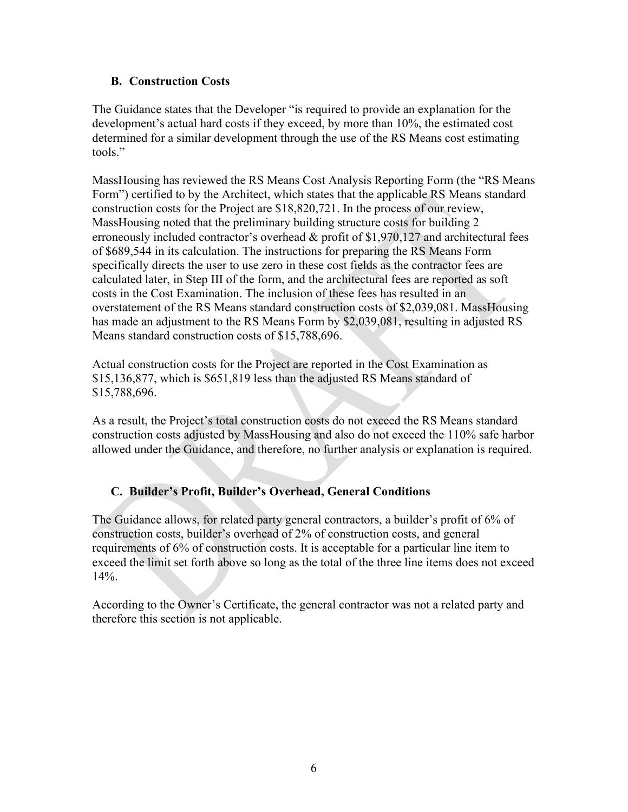#### **B. Construction Costs**

The Guidance states that the Developer "is required to provide an explanation for the development's actual hard costs if they exceed, by more than 10%, the estimated cost determined for a similar development through the use of the RS Means cost estimating tools."

MassHousing has reviewed the RS Means Cost Analysis Reporting Form (the "RS Means Form") certified to by the Architect, which states that the applicable RS Means standard construction costs for the Project are \$18,820,721. In the process of our review, MassHousing noted that the preliminary building structure costs for building 2 erroneously included contractor's overhead & profit of \$1,970,127 and architectural fees of \$689,544 in its calculation. The instructions for preparing the RS Means Form specifically directs the user to use zero in these cost fields as the contractor fees are calculated later, in Step III of the form, and the architectural fees are reported as soft costs in the Cost Examination. The inclusion of these fees has resulted in an overstatement of the RS Means standard construction costs of \$2,039,081. MassHousing has made an adjustment to the RS Means Form by \$2,039,081, resulting in adjusted RS Means standard construction costs of \$15,788,696.

Actual construction costs for the Project are reported in the Cost Examination as \$15,136,877, which is \$651,819 less than the adjusted RS Means standard of \$15,788,696.

As a result, the Project's total construction costs do not exceed the RS Means standard construction costs adjusted by MassHousing and also do not exceed the 110% safe harbor allowed under the Guidance, and therefore, no further analysis or explanation is required.

## **C. Builder's Profit, Builder's Overhead, General Conditions**

The Guidance allows, for related party general contractors, a builder's profit of 6% of construction costs, builder's overhead of 2% of construction costs, and general requirements of 6% of construction costs. It is acceptable for a particular line item to exceed the limit set forth above so long as the total of the three line items does not exceed 14%.

According to the Owner's Certificate, the general contractor was not a related party and therefore this section is not applicable.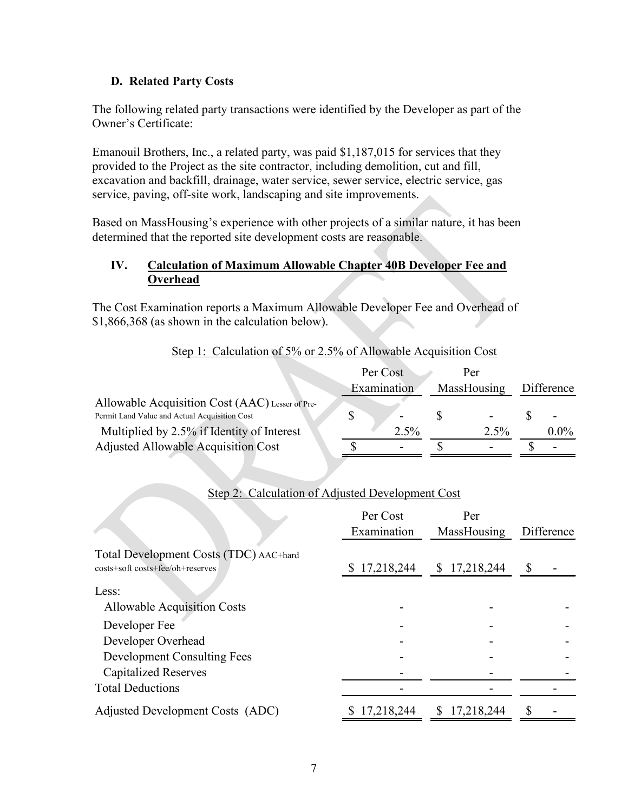### **D. Related Party Costs**

The following related party transactions were identified by the Developer as part of the Owner's Certificate:

Emanouil Brothers, Inc., a related party, was paid \$1,187,015 for services that they provided to the Project as the site contractor, including demolition, cut and fill, excavation and backfill, drainage, water service, sewer service, electric service, gas service, paving, off-site work, landscaping and site improvements.

Based on MassHousing's experience with other projects of a similar nature, it has been determined that the reported site development costs are reasonable.

### **IV. Calculation of Maximum Allowable Chapter 40B Developer Fee and Overhead**

The Cost Examination reports a Maximum Allowable Developer Fee and Overhead of \$1,866,368 (as shown in the calculation below).

| Step 1: Calculation of 5% or 2.5% of Allowable Acquisition Cost |  |
|-----------------------------------------------------------------|--|
|-----------------------------------------------------------------|--|

|                                                 | Per Cost    | Per         |            |
|-------------------------------------------------|-------------|-------------|------------|
|                                                 | Examination | MassHousing | Difference |
| Allowable Acquisition Cost (AAC) Lesser of Pre- |             |             |            |
| Permit Land Value and Actual Acquisition Cost   |             |             |            |
| Multiplied by 2.5% if Identity of Interest      | 2.5%        | $2.5\%$     | $0.0\%$    |
| <b>Adjusted Allowable Acquisition Cost</b>      |             |             |            |

|                                                                            | Per Cost<br>Examination | Per<br>MassHousing | Difference |
|----------------------------------------------------------------------------|-------------------------|--------------------|------------|
| Total Development Costs (TDC) AAC+hard<br>costs+soft costs+fee/oh+reserves | \$17,218,244            | \$17,218,244       | \$         |
| Less:                                                                      |                         |                    |            |
| <b>Allowable Acquisition Costs</b>                                         |                         |                    |            |
| Developer Fee                                                              |                         |                    |            |
| Developer Overhead                                                         |                         |                    |            |
| <b>Development Consulting Fees</b>                                         |                         |                    |            |
| <b>Capitalized Reserves</b>                                                |                         |                    |            |
| <b>Total Deductions</b>                                                    |                         |                    |            |
| Adjusted Development Costs (ADC)                                           | 17,218,244              | 17,218,244<br>\$   |            |

## Step 2: Calculation of Adjusted Development Cost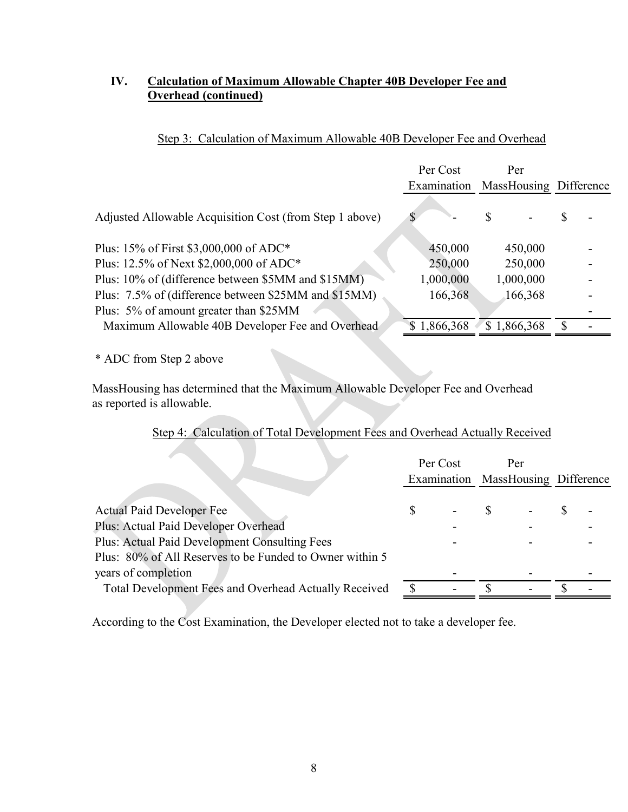#### **IV. Calculation of Maximum Allowable Chapter 40B Developer Fee and Overhead (continued)**

|                                                         | Per Cost<br>Examination | Per<br>MassHousing Difference |  |
|---------------------------------------------------------|-------------------------|-------------------------------|--|
| Adjusted Allowable Acquisition Cost (from Step 1 above) |                         | S                             |  |
| Plus: 15% of First \$3,000,000 of ADC*                  | 450,000                 | 450,000                       |  |
| Plus: 12.5% of Next \$2,000,000 of ADC*                 | 250,000                 | 250,000                       |  |
| Plus: 10% of (difference between \$5MM and \$15MM)      | 1,000,000               | 1,000,000                     |  |
| Plus: 7.5% of (difference between \$25MM and \$15MM)    | 166,368                 | 166,368                       |  |
| Plus: 5% of amount greater than \$25MM                  |                         |                               |  |
| Maximum Allowable 40B Developer Fee and Overhead        | \$1,866,368             | \$1,866,368                   |  |

## Step 3: Calculation of Maximum Allowable 40B Developer Fee and Overhead

\* ADC from Step 2 above

MassHousing has determined that the Maximum Allowable Developer Fee and Overhead as reported is allowable.

## Step 4: Calculation of Total Development Fees and Overhead Actually Received

|                                                          | Per Cost | Per<br>Examination MassHousing Difference |  |
|----------------------------------------------------------|----------|-------------------------------------------|--|
| <b>Actual Paid Developer Fee</b>                         |          |                                           |  |
| Plus: Actual Paid Developer Overhead                     |          |                                           |  |
| Plus: Actual Paid Development Consulting Fees            |          |                                           |  |
| Plus: 80% of All Reserves to be Funded to Owner within 5 |          |                                           |  |
| years of completion                                      |          |                                           |  |
| Total Development Fees and Overhead Actually Received    |          |                                           |  |

According to the Cost Examination, the Developer elected not to take a developer fee.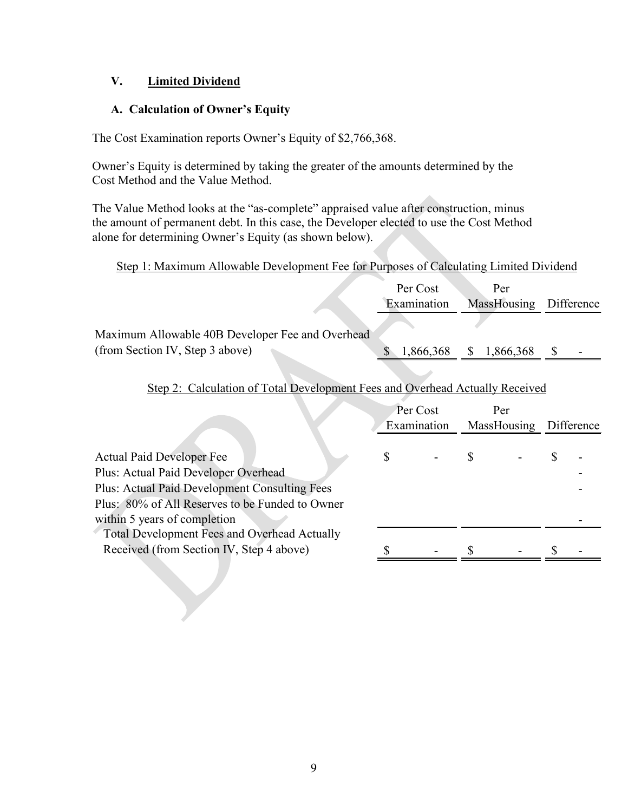### **V. Limited Dividend**

### **A. Calculation of Owner's Equity**

The Cost Examination reports Owner's Equity of \$2,766,368.

Owner's Equity is determined by taking the greater of the amounts determined by the Cost Method and the Value Method.

The Value Method looks at the "as-complete" appraised value after construction, minus the amount of permanent debt. In this case, the Developer elected to use the Cost Method alone for determining Owner's Equity (as shown below).

### Step 1: Maximum Allowable Development Fee for Purposes of Calculating Limited Dividend

|                                                  | Per Cost    | Per                    |  |
|--------------------------------------------------|-------------|------------------------|--|
|                                                  | Examination | MassHousing Difference |  |
|                                                  |             |                        |  |
| Maximum Allowable 40B Developer Fee and Overhead |             |                        |  |
| (from Section IV, Step 3 above)                  | 1,866,368   | \$ 1,866,368           |  |
|                                                  |             |                        |  |

# Step 2: Calculation of Total Development Fees and Overhead Actually Received

| MassHousing Difference |
|------------------------|